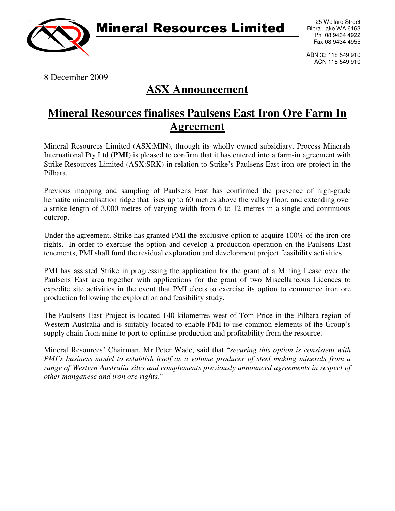

## Mineral Resources Limited

25 Wellard Street Bibra Lake WA 6163 Ph 08 9434 4922 Fax 08 9434 4955

ABN 33 118 549 910 ACN 118 549 910

8 December 2009

## **ASX Announcement**

## **Mineral Resources finalises Paulsens East Iron Ore Farm In Agreement**

Mineral Resources Limited (ASX:MIN), through its wholly owned subsidiary, Process Minerals International Pty Ltd (**PMI**) is pleased to confirm that it has entered into a farm-in agreement with Strike Resources Limited (ASX:SRK) in relation to Strike's Paulsens East iron ore project in the Pilbara.

Previous mapping and sampling of Paulsens East has confirmed the presence of high-grade hematite mineralisation ridge that rises up to 60 metres above the valley floor, and extending over a strike length of 3,000 metres of varying width from 6 to 12 metres in a single and continuous outcrop.

Under the agreement, Strike has granted PMI the exclusive option to acquire 100% of the iron ore rights. In order to exercise the option and develop a production operation on the Paulsens East tenements, PMI shall fund the residual exploration and development project feasibility activities.

PMI has assisted Strike in progressing the application for the grant of a Mining Lease over the Paulsens East area together with applications for the grant of two Miscellaneous Licences to expedite site activities in the event that PMI elects to exercise its option to commence iron ore production following the exploration and feasibility study.

The Paulsens East Project is located 140 kilometres west of Tom Price in the Pilbara region of Western Australia and is suitably located to enable PMI to use common elements of the Group's supply chain from mine to port to optimise production and profitability from the resource.

Mineral Resources' Chairman, Mr Peter Wade, said that "*securing this option is consistent with PMI's business model to establish itself as a volume producer of steel making minerals from a range of Western Australia sites and complements previously announced agreements in respect of other manganese and iron ore rights.*"